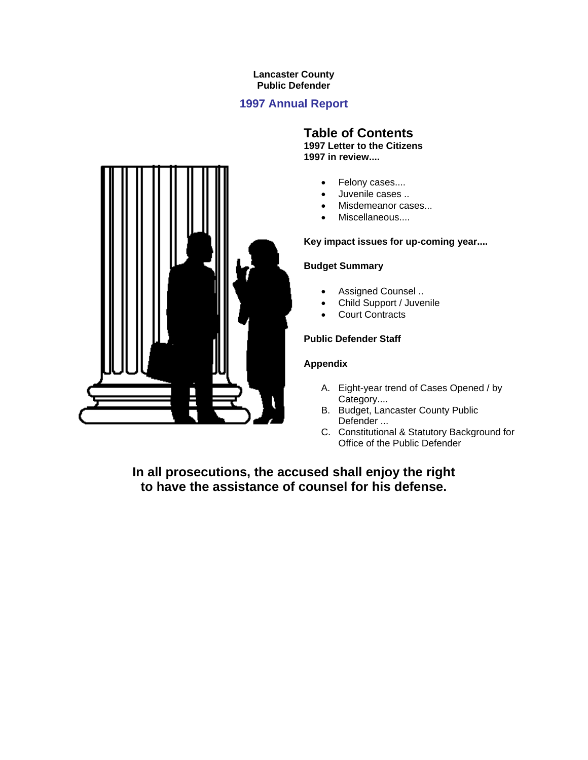# **Lancaster County Public Defender**

# **1997 Annual Report**



# **Table of Contents**

**1997 Letter to the Citizens 1997 in review....**

- Felony cases....
- Juvenile cases ..
- Misdemeanor cases...
- Miscellaneous....

# **Key impact issues for up-coming year....**

# **Budget Summary**

- Assigned Counsel ..
- Child Support / Juvenile
- Court Contracts

# **Public Defender Staff**

# **Appendix**

- A. Eight-year trend of Cases Opened / by Category....
- B. Budget, Lancaster County Public Defender ...
- C. Constitutional & Statutory Background for Office of the Public Defender

**In all prosecutions, the accused shall enjoy the right to have the assistance of counsel for his defense.**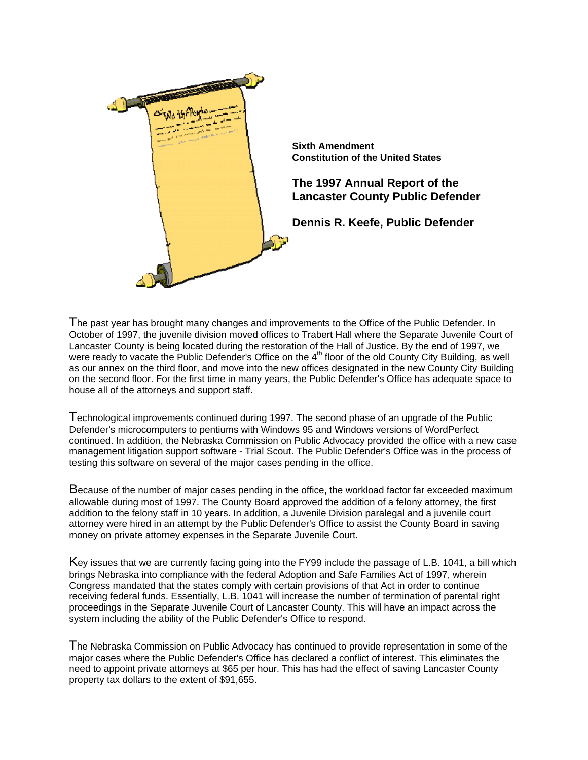

The past year has brought many changes and improvements to the Office of the Public Defender. In October of 1997, the juvenile division moved offices to Trabert Hall where the Separate Juvenile Court of Lancaster County is being located during the restoration of the Hall of Justice. By the end of 1997, we were ready to vacate the Public Defender's Office on the 4<sup>th</sup> floor of the old County City Building, as well as our annex on the third floor, and move into the new offices designated in the new County City Building on the second floor. For the first time in many years, the Public Defender's Office has adequate space to house all of the attorneys and support staff.

Technological improvements continued during 1997. The second phase of an upgrade of the Public Defender's microcomputers to pentiums with Windows 95 and Windows versions of WordPerfect continued. In addition, the Nebraska Commission on Public Advocacy provided the office with a new case management litigation support software - Trial Scout. The Public Defender's Office was in the process of testing this software on several of the major cases pending in the office.

Because of the number of major cases pending in the office, the workload factor far exceeded maximum allowable during most of 1997. The County Board approved the addition of a felony attorney, the first addition to the felony staff in 10 years. In addition, a Juvenile Division paralegal and a juvenile court attorney were hired in an attempt by the Public Defender's Office to assist the County Board in saving money on private attorney expenses in the Separate Juvenile Court.

Key issues that we are currently facing going into the FY99 include the passage of L.B. 1041, a bill which brings Nebraska into compliance with the federal Adoption and Safe Families Act of 1997, wherein Congress mandated that the states comply with certain provisions of that Act in order to continue receiving federal funds. Essentially, L.B. 1041 will increase the number of termination of parental right proceedings in the Separate Juvenile Court of Lancaster County. This will have an impact across the system including the ability of the Public Defender's Office to respond.

The Nebraska Commission on Public Advocacy has continued to provide representation in some of the major cases where the Public Defender's Office has declared a conflict of interest. This eliminates the need to appoint private attorneys at \$65 per hour. This has had the effect of saving Lancaster County property tax dollars to the extent of \$91,655.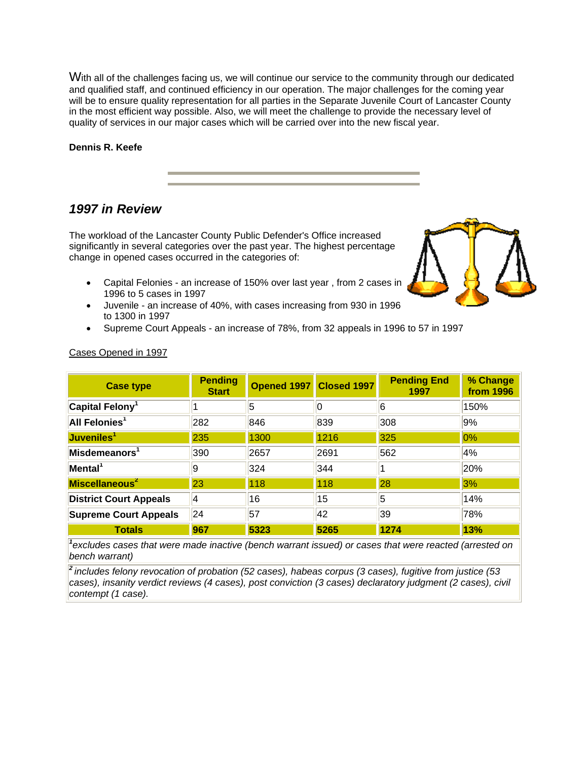With all of the challenges facing us, we will continue our service to the community through our dedicated and qualified staff, and continued efficiency in our operation. The major challenges for the coming year will be to ensure quality representation for all parties in the Separate Juvenile Court of Lancaster County in the most efficient way possible. Also, we will meet the challenge to provide the necessary level of quality of services in our major cases which will be carried over into the new fiscal year.

### **Dennis R. Keefe**

# *1997 in Review*

The workload of the Lancaster County Public Defender's Office increased significantly in several categories over the past year. The highest percentage change in opened cases occurred in the categories of:

- Capital Felonies an increase of 150% over last year , from 2 cases in 1996 to 5 cases in 1997
- Juvenile an increase of 40%, with cases increasing from 930 in 1996 to 1300 in 1997
- Supreme Court Appeals an increase of 78%, from 32 appeals in 1996 to 57 in 1997

| <b>Case type</b>               | <b>Pending</b><br><b>Start</b> | Opened 1997 Closed 1997 |      | <b>Pending End</b><br>1997 | % Change<br><b>from 1996</b> |  |
|--------------------------------|--------------------------------|-------------------------|------|----------------------------|------------------------------|--|
| Capital Felony <sup>1</sup>    |                                | 5                       |      | 6                          | 150%                         |  |
| All Felonies <sup>1</sup>      | 282                            | 846                     | 839  | 308                        | 9%                           |  |
| Juveniles <sup>1</sup>         | 235                            | 1300                    | 1216 | 325                        | 0%                           |  |
| $ $ Misdemeanors $^{\text{-}}$ | 390                            | 2657                    | 2691 | 562                        | 4%                           |  |
| Mental <sup>1</sup>            | 19                             | 324                     | 344  |                            | 20%                          |  |
| Miscellaneous <sup>2</sup>     | 23                             | 118                     | 118  | 28                         | 3%                           |  |
| <b>District Court Appeals</b>  | 4                              | 16                      | 15   | 5                          | 14%                          |  |
| <b>Supreme Court Appeals</b>   | 24                             | 57                      | 42   | 39                         | 78%                          |  |
| <b>Totals</b>                  | 967                            | 5323                    | 5265 | 1274                       | 13%                          |  |

# Cases Opened in 1997

*1 excludes cases that were made inactive (bench warrant issued) or cases that were reacted (arrested on bench warrant)*

*<sup>2</sup>includes felony revocation of probation (52 cases), habeas corpus (3 cases), fugitive from justice (53 cases), insanity verdict reviews (4 cases), post conviction (3 cases) declaratory judgment (2 cases), civil contempt (1 case).*

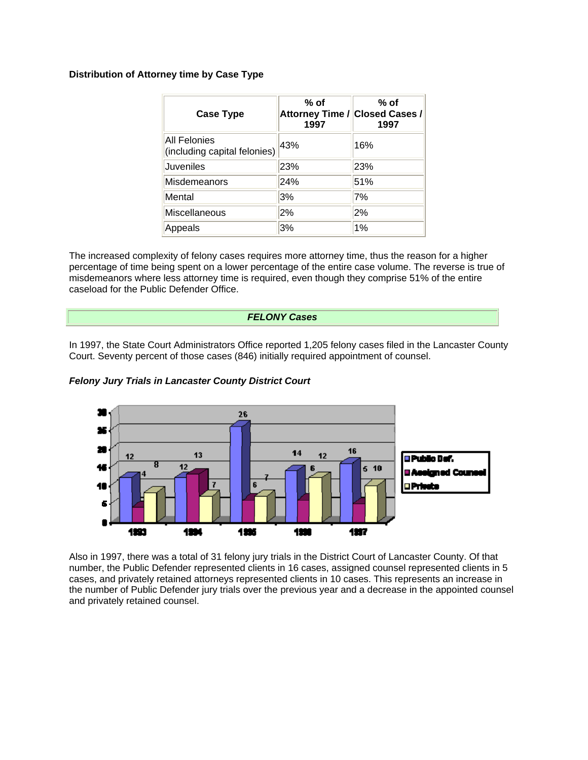# **Distribution of Attorney time by Case Type**

| <b>Case Type</b>                                    | % of<br>Attorney Time / Closed Cases /<br>1997 | $%$ of<br>1997 |  |  |  |
|-----------------------------------------------------|------------------------------------------------|----------------|--|--|--|
| <b>All Felonies</b><br>(including capital felonies) | 43%                                            | 16%            |  |  |  |
| <b>Juveniles</b>                                    | 23%                                            | 23%            |  |  |  |
| Misdemeanors                                        | 24%                                            | 51%            |  |  |  |
| Mental                                              | 3%                                             | 7%             |  |  |  |
| Miscellaneous                                       | 2%                                             | 2%             |  |  |  |
| Appeals                                             | 3%                                             | 1%             |  |  |  |

The increased complexity of felony cases requires more attorney time, thus the reason for a higher percentage of time being spent on a lower percentage of the entire case volume. The reverse is true of misdemeanors where less attorney time is required, even though they comprise 51% of the entire caseload for the Public Defender Office.

# *FELONY Cases*

In 1997, the State Court Administrators Office reported 1,205 felony cases filed in the Lancaster County Court. Seventy percent of those cases (846) initially required appointment of counsel.

*Felony Jury Trials in Lancaster County District Court*



Also in 1997, there was a total of 31 felony jury trials in the District Court of Lancaster County. Of that number, the Public Defender represented clients in 16 cases, assigned counsel represented clients in 5 cases, and privately retained attorneys represented clients in 10 cases. This represents an increase in the number of Public Defender jury trials over the previous year and a decrease in the appointed counsel and privately retained counsel.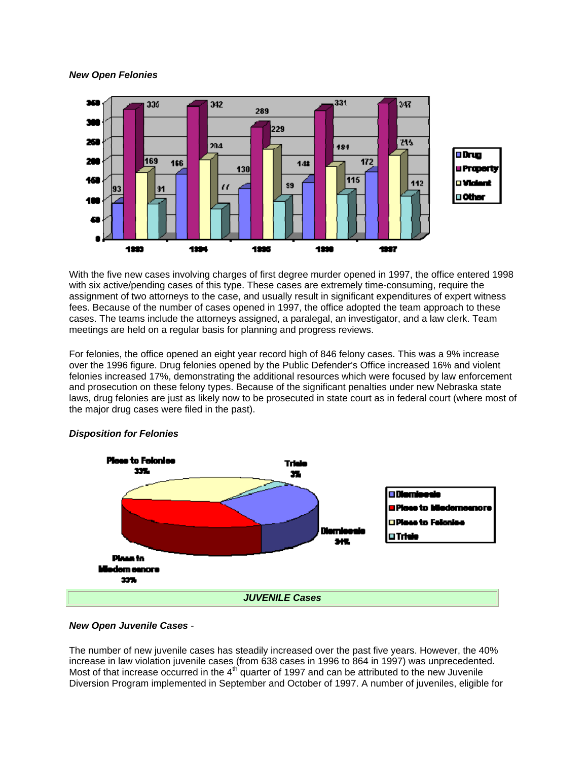### *New Open Felonies*



With the five new cases involving charges of first degree murder opened in 1997, the office entered 1998 with six active/pending cases of this type. These cases are extremely time-consuming, require the assignment of two attorneys to the case, and usually result in significant expenditures of expert witness fees. Because of the number of cases opened in 1997, the office adopted the team approach to these cases. The teams include the attorneys assigned, a paralegal, an investigator, and a law clerk. Team meetings are held on a regular basis for planning and progress reviews.

For felonies, the office opened an eight year record high of 846 felony cases. This was a 9% increase over the 1996 figure. Drug felonies opened by the Public Defender's Office increased 16% and violent felonies increased 17%, demonstrating the additional resources which were focused by law enforcement and prosecution on these felony types. Because of the significant penalties under new Nebraska state laws, drug felonies are just as likely now to be prosecuted in state court as in federal court (where most of the major drug cases were filed in the past).



# *Disposition for Felonies*

### *New Open Juvenile Cases* -

The number of new juvenile cases has steadily increased over the past five years. However, the 40% increase in law violation juvenile cases (from 638 cases in 1996 to 864 in 1997) was unprecedented. Most of that increase occurred in the  $4<sup>th</sup>$  quarter of 1997 and can be attributed to the new Juvenile Diversion Program implemented in September and October of 1997. A number of juveniles, eligible for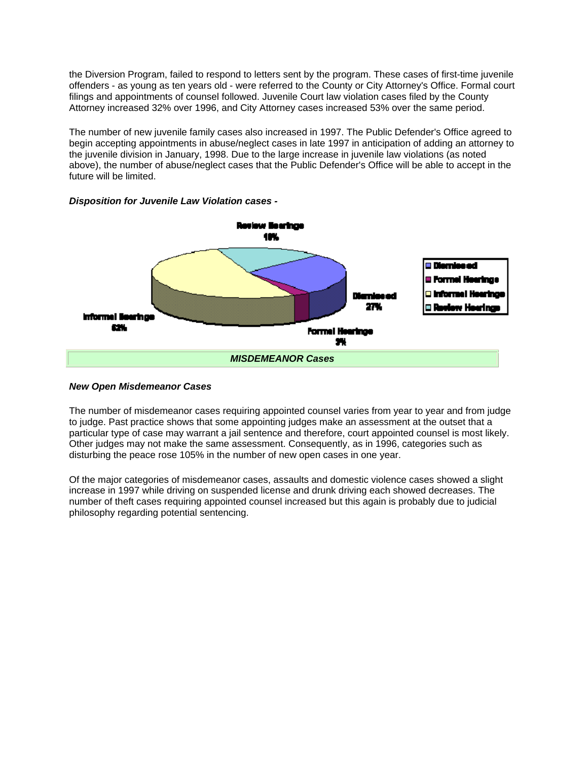the Diversion Program, failed to respond to letters sent by the program. These cases of first-time juvenile offenders - as young as ten years old - were referred to the County or City Attorney's Office. Formal court filings and appointments of counsel followed. Juvenile Court law violation cases filed by the County Attorney increased 32% over 1996, and City Attorney cases increased 53% over the same period.

The number of new juvenile family cases also increased in 1997. The Public Defender's Office agreed to begin accepting appointments in abuse/neglect cases in late 1997 in anticipation of adding an attorney to the juvenile division in January, 1998. Due to the large increase in juvenile law violations (as noted above), the number of abuse/neglect cases that the Public Defender's Office will be able to accept in the future will be limited.



*Disposition for Juvenile Law Violation cases -*

### *New Open Misdemeanor Cases*

The number of misdemeanor cases requiring appointed counsel varies from year to year and from judge to judge. Past practice shows that some appointing judges make an assessment at the outset that a particular type of case may warrant a jail sentence and therefore, court appointed counsel is most likely. Other judges may not make the same assessment. Consequently, as in 1996, categories such as disturbing the peace rose 105% in the number of new open cases in one year.

Of the major categories of misdemeanor cases, assaults and domestic violence cases showed a slight increase in 1997 while driving on suspended license and drunk driving each showed decreases. The number of theft cases requiring appointed counsel increased but this again is probably due to judicial philosophy regarding potential sentencing.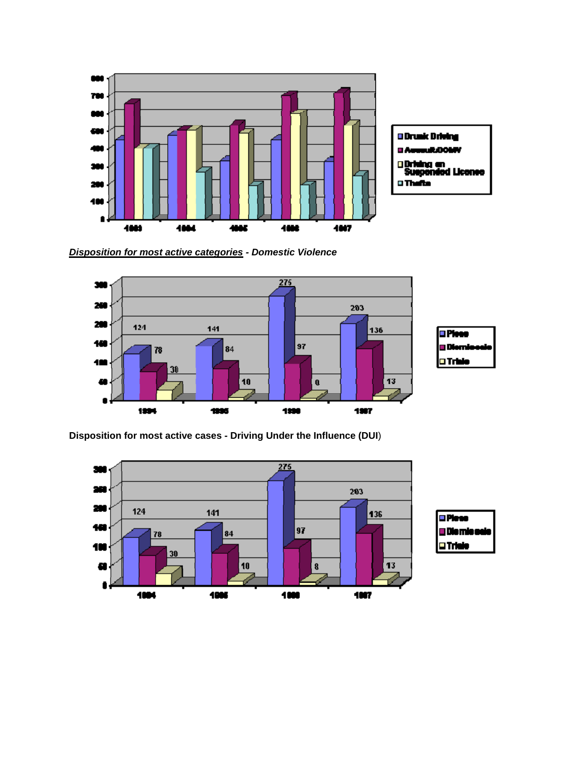

*Disposition for most active categories - Domestic Violence*



**Disposition for most active cases - Driving Under the Influence (DUI**)

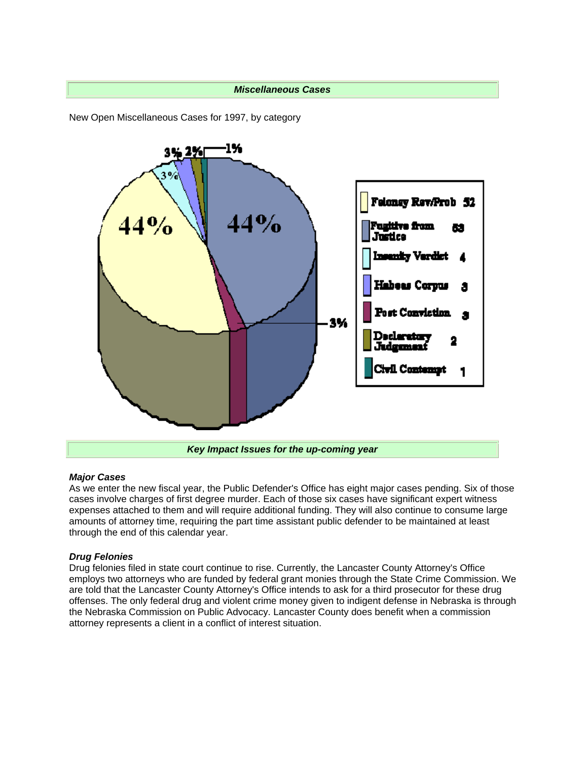### *Miscellaneous Cases*

New Open Miscellaneous Cases for 1997, by category



#### *Major Cases*

As we enter the new fiscal year, the Public Defender's Office has eight major cases pending. Six of those cases involve charges of first degree murder. Each of those six cases have significant expert witness expenses attached to them and will require additional funding. They will also continue to consume large amounts of attorney time, requiring the part time assistant public defender to be maintained at least through the end of this calendar year.

### *Drug Felonies*

Drug felonies filed in state court continue to rise. Currently, the Lancaster County Attorney's Office employs two attorneys who are funded by federal grant monies through the State Crime Commission. We are told that the Lancaster County Attorney's Office intends to ask for a third prosecutor for these drug offenses. The only federal drug and violent crime money given to indigent defense in Nebraska is through the Nebraska Commission on Public Advocacy. Lancaster County does benefit when a commission attorney represents a client in a conflict of interest situation.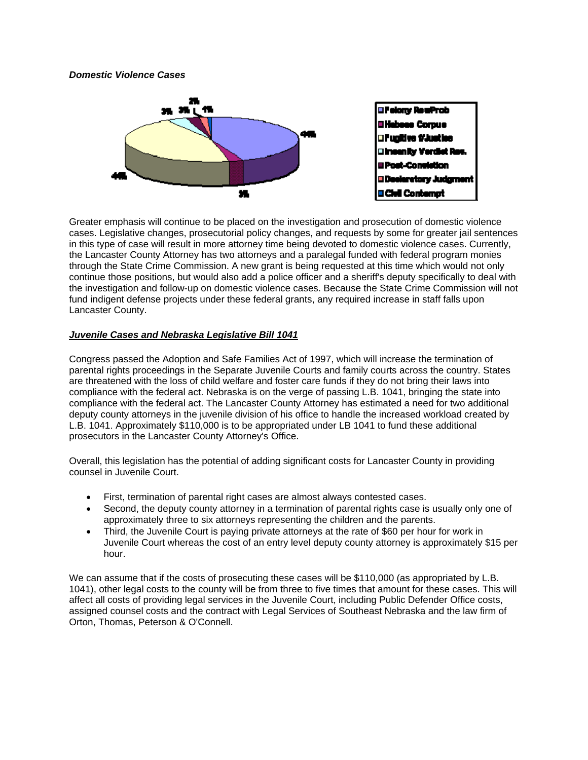## *Domestic Violence Cases*



Greater emphasis will continue to be placed on the investigation and prosecution of domestic violence cases. Legislative changes, prosecutorial policy changes, and requests by some for greater jail sentences in this type of case will result in more attorney time being devoted to domestic violence cases. Currently, the Lancaster County Attorney has two attorneys and a paralegal funded with federal program monies through the State Crime Commission. A new grant is being requested at this time which would not only continue those positions, but would also add a police officer and a sheriff's deputy specifically to deal with the investigation and follow-up on domestic violence cases. Because the State Crime Commission will not fund indigent defense projects under these federal grants, any required increase in staff falls upon Lancaster County.

# *Juvenile Cases and Nebraska Legislative Bill 1041*

Congress passed the Adoption and Safe Families Act of 1997, which will increase the termination of parental rights proceedings in the Separate Juvenile Courts and family courts across the country. States are threatened with the loss of child welfare and foster care funds if they do not bring their laws into compliance with the federal act. Nebraska is on the verge of passing L.B. 1041, bringing the state into compliance with the federal act. The Lancaster County Attorney has estimated a need for two additional deputy county attorneys in the juvenile division of his office to handle the increased workload created by L.B. 1041. Approximately \$110,000 is to be appropriated under LB 1041 to fund these additional prosecutors in the Lancaster County Attorney's Office.

Overall, this legislation has the potential of adding significant costs for Lancaster County in providing counsel in Juvenile Court.

- First, termination of parental right cases are almost always contested cases.
- Second, the deputy county attorney in a termination of parental rights case is usually only one of approximately three to six attorneys representing the children and the parents.
- Third, the Juvenile Court is paying private attorneys at the rate of \$60 per hour for work in Juvenile Court whereas the cost of an entry level deputy county attorney is approximately \$15 per hour.

We can assume that if the costs of prosecuting these cases will be \$110,000 (as appropriated by L.B. 1041), other legal costs to the county will be from three to five times that amount for these cases. This will affect all costs of providing legal services in the Juvenile Court, including Public Defender Office costs, assigned counsel costs and the contract with Legal Services of Southeast Nebraska and the law firm of Orton, Thomas, Peterson & O'Connell.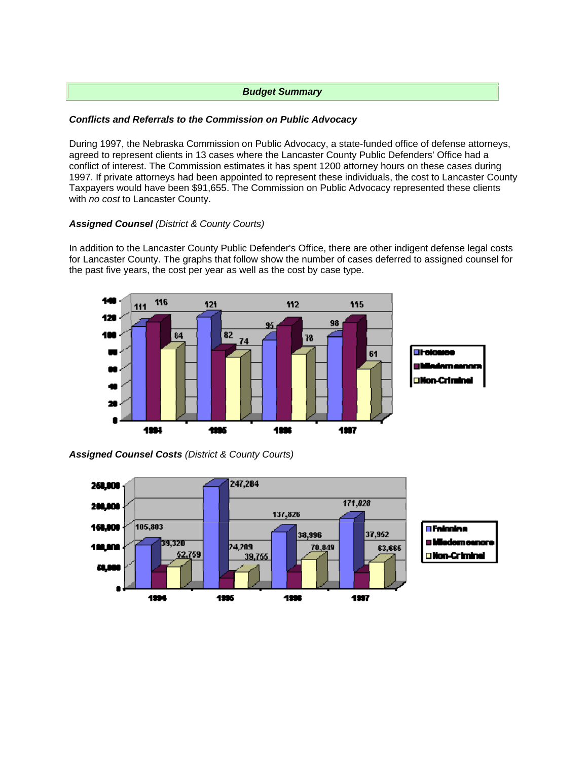# *Budget Summary*

# *Conflicts and Referrals to the Commission on Public Advocacy*

During 1997, the Nebraska Commission on Public Advocacy, a state-funded office of defense attorneys, agreed to represent clients in 13 cases where the Lancaster County Public Defenders' Office had a conflict of interest. The Commission estimates it has spent 1200 attorney hours on these cases during 1997. If private attorneys had been appointed to represent these individuals, the cost to Lancaster County Taxpayers would have been \$91,655. The Commission on Public Advocacy represented these clients with *no cost* to Lancaster County.

# *Assigned Counsel (District & County Courts)*

In addition to the Lancaster County Public Defender's Office, there are other indigent defense legal costs for Lancaster County. The graphs that follow show the number of cases deferred to assigned counsel for the past five years, the cost per year as well as the cost by case type.



*Assigned Counsel Costs (District & County Courts)*

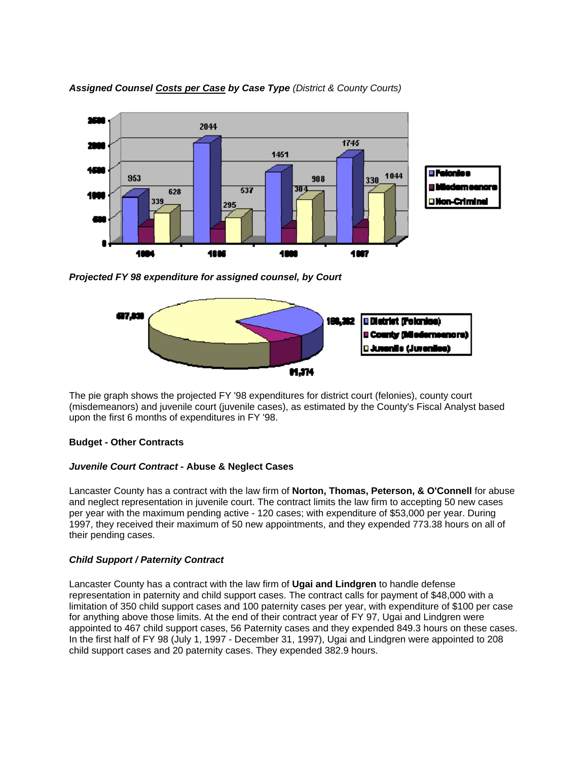

*Assigned Counsel Costs per Case by Case Type (District & County Courts)*

*Projected FY 98 expenditure for assigned counsel, by Court*



The pie graph shows the projected FY '98 expenditures for district court (felonies), county court (misdemeanors) and juvenile court (juvenile cases), as estimated by the County's Fiscal Analyst based upon the first 6 months of expenditures in FY '98.

# **Budget - Other Contracts**

### *Juvenile Court Contract* **- Abuse & Neglect Cases**

Lancaster County has a contract with the law firm of **Norton, Thomas, Peterson, & O'Connell** for abuse and neglect representation in juvenile court. The contract limits the law firm to accepting 50 new cases per year with the maximum pending active - 120 cases; with expenditure of \$53,000 per year. During 1997, they received their maximum of 50 new appointments, and they expended 773.38 hours on all of their pending cases.

# *Child Support / Paternity Contract*

Lancaster County has a contract with the law firm of **Ugai and Lindgren** to handle defense representation in paternity and child support cases. The contract calls for payment of \$48,000 with a limitation of 350 child support cases and 100 paternity cases per year, with expenditure of \$100 per case for anything above those limits. At the end of their contract year of FY 97, Ugai and Lindgren were appointed to 467 child support cases, 56 Paternity cases and they expended 849.3 hours on these cases. In the first half of FY 98 (July 1, 1997 - December 31, 1997), Ugai and Lindgren were appointed to 208 child support cases and 20 paternity cases. They expended 382.9 hours.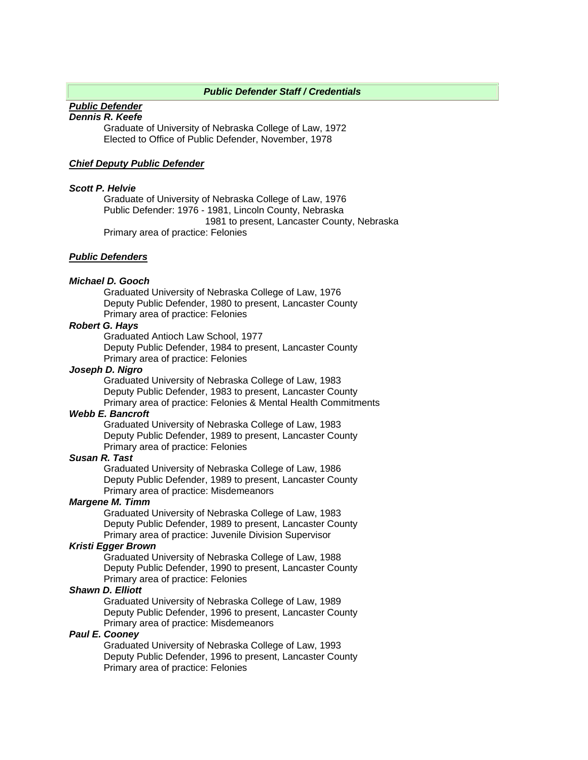### *Public Defender Staff / Credentials*

#### *Public Defender Dennis R. Keefe*

Graduate of University of Nebraska College of Law, 1972 Elected to Office of Public Defender, November, 1978

### *Chief Deputy Public Defender*

#### *Scott P. Helvie*

Graduate of University of Nebraska College of Law, 1976 Public Defender: 1976 - 1981, Lincoln County, Nebraska 1981 to present, Lancaster County, Nebraska Primary area of practice: Felonies

### *Public Defenders*

#### *Michael D. Gooch*

Graduated University of Nebraska College of Law, 1976 Deputy Public Defender, 1980 to present, Lancaster County Primary area of practice: Felonies

#### *Robert G. Hays*

Graduated Antioch Law School, 1977

Deputy Public Defender, 1984 to present, Lancaster County Primary area of practice: Felonies

#### *Joseph D. Nigro*

Graduated University of Nebraska College of Law, 1983 Deputy Public Defender, 1983 to present, Lancaster County Primary area of practice: Felonies & Mental Health Commitments

#### *Webb E. Bancroft*

Graduated University of Nebraska College of Law, 1983 Deputy Public Defender, 1989 to present, Lancaster County Primary area of practice: Felonies

### *Susan R. Tast*

Graduated University of Nebraska College of Law, 1986 Deputy Public Defender, 1989 to present, Lancaster County Primary area of practice: Misdemeanors

# *Margene M. Timm*

Graduated University of Nebraska College of Law, 1983 Deputy Public Defender, 1989 to present, Lancaster County Primary area of practice: Juvenile Division Supervisor

## *Kristi Egger Brown*

Graduated University of Nebraska College of Law, 1988 Deputy Public Defender, 1990 to present, Lancaster County Primary area of practice: Felonies

## *Shawn D. Elliott*

Graduated University of Nebraska College of Law, 1989 Deputy Public Defender, 1996 to present, Lancaster County Primary area of practice: Misdemeanors

### *Paul E. Cooney*

Graduated University of Nebraska College of Law, 1993 Deputy Public Defender, 1996 to present, Lancaster County Primary area of practice: Felonies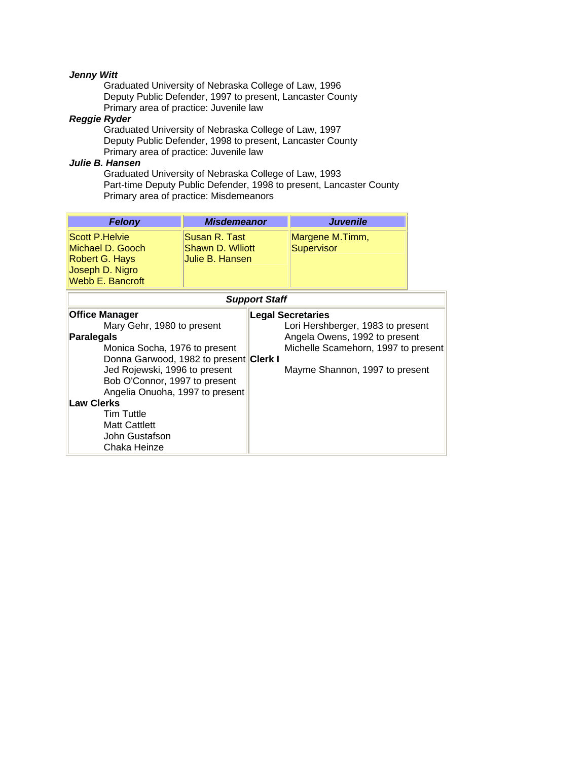# *Jenny Witt*

Graduated University of Nebraska College of Law, 1996 Deputy Public Defender, 1997 to present, Lancaster County Primary area of practice: Juvenile law

# *Reggie Ryder*

Graduated University of Nebraska College of Law, 1997 Deputy Public Defender, 1998 to present, Lancaster County Primary area of practice: Juvenile law

## *Julie B. Hansen*

Graduated University of Nebraska College of Law, 1993 Part-time Deputy Public Defender, 1998 to present, Lancaster County Primary area of practice: Misdemeanors

| <b>Felony</b>                                                                                      | <b>Misdemeanor</b>                                    | <b>Juvenile</b>               |
|----------------------------------------------------------------------------------------------------|-------------------------------------------------------|-------------------------------|
| Scott P.Helvie<br>Michael D. Gooch<br>Robert G. Hays<br>Joseph D. Nigro<br><b>Webb E. Bancroft</b> | Susan R. Tast<br>Shawn D. Williott<br>Julie B. Hansen | Margene M.Timm,<br>Supervisor |

|                                        | <b>Support Staff</b>                |
|----------------------------------------|-------------------------------------|
| <b>Office Manager</b>                  | <b>Legal Secretaries</b>            |
| Mary Gehr, 1980 to present             | Lori Hershberger, 1983 to present   |
| <b>Paralegals</b>                      | Angela Owens, 1992 to present       |
| Monica Socha, 1976 to present          | Michelle Scamehorn, 1997 to present |
| Donna Garwood, 1982 to present Clerk I |                                     |
| Jed Rojewski, 1996 to present          | Mayme Shannon, 1997 to present      |
| Bob O'Connor, 1997 to present          |                                     |
| Angelia Onuoha, 1997 to present        |                                     |
| <b>Law Clerks</b>                      |                                     |
| <b>Tim Tuttle</b>                      |                                     |
| <b>Matt Cattlett</b>                   |                                     |
| John Gustafson                         |                                     |
| Chaka Heinze                           |                                     |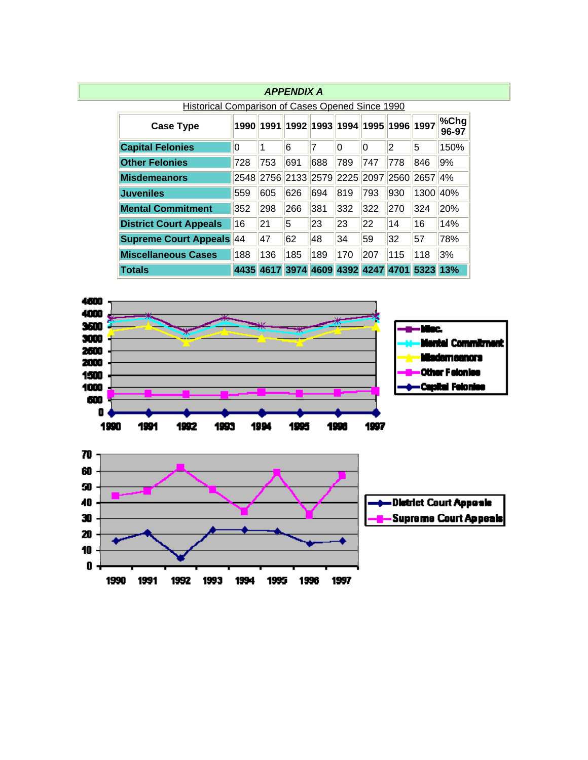|                                                  |      |           | <b>APPENDIX A</b> |                                    |          |     |     |                                             |               |
|--------------------------------------------------|------|-----------|-------------------|------------------------------------|----------|-----|-----|---------------------------------------------|---------------|
| Historical Comparison of Cases Opened Since 1990 |      |           |                   |                                    |          |     |     |                                             |               |
| <b>Case Type</b>                                 |      | 1990 1991 |                   | 1992  1993  1994  1995  1996  1997 |          |     |     |                                             | %Chg<br>96-97 |
| <b>Capital Felonies</b>                          | 10   | 1         | 6                 | 7                                  | $\Omega$ | 0   | 2   | 5                                           | 150%          |
| <b>Other Felonies</b>                            | 728  | 753       | 691               | 688                                | 789      | 747 | 778 | 846                                         | 9%            |
| <b>Misdemeanors</b>                              | 2548 |           |                   | 2756 2133 2579 2225 2097 2560      |          |     |     | 2657                                        | 4%            |
| <b>Juveniles</b>                                 | 559  | 605       | 626               | 694                                | 819      | 793 | 930 | 1300                                        | 40%           |
| <b>Mental Commitment</b>                         | 352  | 298       | 266               | 381                                | 332      | 322 | 270 | 324                                         | 20%           |
| <b>District Court Appeals</b>                    | 16   | 21        | 5                 | 23                                 | 23       | 22  | 14  | 16                                          | 14%           |
| <b>Supreme Court Appeals 44</b>                  |      | 47        | 62                | 48                                 | 34       | 59  | 32  | 57                                          | 78%           |
| <b>Miscellaneous Cases</b>                       | 188  | 136       | 185               | 189                                | 170      | 207 | 115 | 118                                         | 3%            |
| <b>Totals</b>                                    |      |           |                   |                                    |          |     |     | 4435 4617 3974 4609 4392 4247 4701 5323 13% |               |



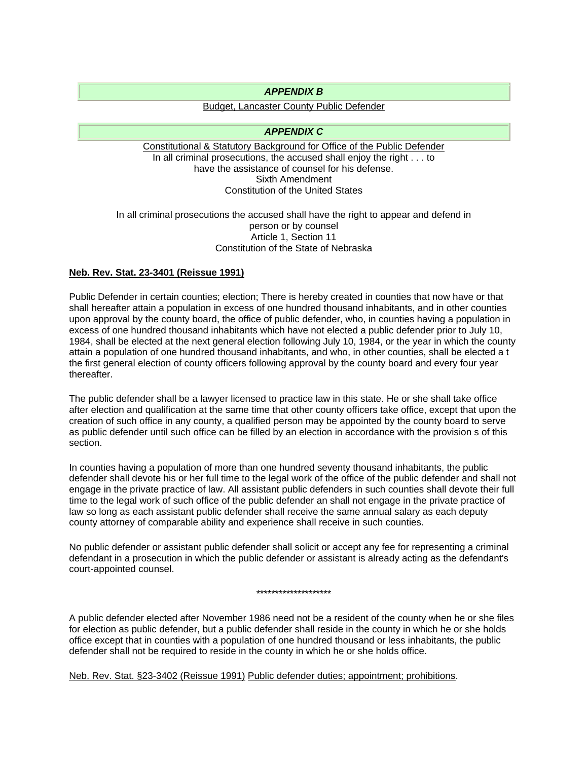## *APPENDIX B*

# Budget, Lancaster County Public Defender

## *APPENDIX C*

Constitutional & Statutory Background for Office of the Public Defender In all criminal prosecutions, the accused shall enjoy the right . . . to have the assistance of counsel for his defense. Sixth Amendment Constitution of the United States

### In all criminal prosecutions the accused shall have the right to appear and defend in person or by counsel Article 1, Section 11 Constitution of the State of Nebraska

# **Neb. Rev. Stat. 23-3401 (Reissue 1991)**

Public Defender in certain counties; election; There is hereby created in counties that now have or that shall hereafter attain a population in excess of one hundred thousand inhabitants, and in other counties upon approval by the county board, the office of public defender, who, in counties having a population in excess of one hundred thousand inhabitants which have not elected a public defender prior to July 10, 1984, shall be elected at the next general election following July 10, 1984, or the year in which the county attain a population of one hundred thousand inhabitants, and who, in other counties, shall be elected a t the first general election of county officers following approval by the county board and every four year thereafter.

The public defender shall be a lawyer licensed to practice law in this state. He or she shall take office after election and qualification at the same time that other county officers take office, except that upon the creation of such office in any county, a qualified person may be appointed by the county board to serve as public defender until such office can be filled by an election in accordance with the provision s of this section.

In counties having a population of more than one hundred seventy thousand inhabitants, the public defender shall devote his or her full time to the legal work of the office of the public defender and shall not engage in the private practice of law. All assistant public defenders in such counties shall devote their full time to the legal work of such office of the public defender an shall not engage in the private practice of law so long as each assistant public defender shall receive the same annual salary as each deputy county attorney of comparable ability and experience shall receive in such counties.

No public defender or assistant public defender shall solicit or accept any fee for representing a criminal defendant in a prosecution in which the public defender or assistant is already acting as the defendant's court-appointed counsel.

#### \*\*\*\*\*\*\*\*\*\*\*\*\*\*\*\*\*\*\*\*

A public defender elected after November 1986 need not be a resident of the county when he or she files for election as public defender, but a public defender shall reside in the county in which he or she holds office except that in counties with a population of one hundred thousand or less inhabitants, the public defender shall not be required to reside in the county in which he or she holds office.

Neb. Rev. Stat. §23-3402 (Reissue 1991) Public defender duties; appointment; prohibitions.